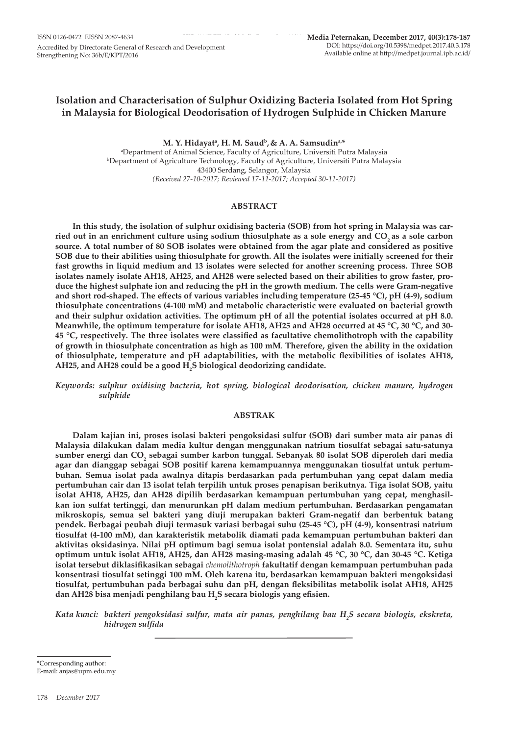## **Isolation and Characterisation of Sulphur Oxidizing Bacteria Isolated from Hot Spring in Malaysia for Biological Deodorisation of Hydrogen Sulphide in Chicken Manure**

**M. Y. Hidayata , H. M. Saudb, & A. A. Samsudina,\*** a Department of Animal Science, Faculty of Agriculture, Universiti Putra Malaysia b Department of Agriculture Technology, Faculty of Agriculture, Universiti Putra Malaysia 43400 Serdang, Selangor, Malaysia *(Received 27-10-2017; Reviewed 17-11-2017; Accepted 30-11-2017)*

## **ABSTRACT**

**In this study, the isolation of sulphur oxidising bacteria (SOB) from hot spring in Malaysia was car**ried out in an enrichment culture using sodium thiosulphate as a sole energy and CO<sub>2</sub> as a sole carbon **source. A total number of 80 SOB isolates were obtained from the agar plate and considered as positive SOB due to their abilities using thiosulphate for growth. All the isolates were initially screened for their fast growths in liquid medium and 13 isolates were selected for another screening process. Three SOB isolates namely isolate AH18, AH25, and AH28 were selected based on their abilities to grow faster, produce the highest sulphate ion and reducing the pH in the growth medium. The cells were Gram-negative and short rod-shaped. The effects of various variables including temperature (25-45 °C), pH (4-9), sodium thiosulphate concentrations (4-100 mM) and metabolic characteristic were evaluated on bacterial growth and their sulphur oxidation activities. The optimum pH of all the potential isolates occurred at pH 8.0. Meanwhile, the optimum temperature for isolate AH18, AH25 and AH28 occurred at 45 °C, 30 °C, and 30- 45 °C, respectively. The three isolates were classified as facultative chemolithotroph with the capability of growth in thiosulphate concentration as high as 100 mM***.* **Therefore, given the ability in the oxidation of thiosulphate, temperature and pH adaptabilities, with the metabolic flexibilities of isolates AH18,**  AH25, and AH28 could be a good **H<sub>2</sub>S biological deodorizing candidate**.

*Keywords: sulphur oxidising bacteria, hot spring, biological deodorisation, chicken manure, hydrogen sulphide*

## **ABSTRAK**

**Dalam kajian ini, proses isolasi bakteri pengoksidasi sulfur (SOB) dari sumber mata air panas di Malaysia dilakukan dalam media kultur dengan menggunakan natrium tiosulfat sebagai satu-satunya sumber energi dan CO2 sebagai sumber karbon tunggal. Sebanyak 80 isolat SOB diperoleh dari media agar dan dianggap sebagai SOB positif karena kemampuannya menggunakan tiosulfat untuk pertumbuhan. Semua isolat pada awalnya ditapis berdasarkan pada pertumbuhan yang cepat dalam media pertumbuhan cair dan 13 isolat telah terpilih untuk proses penapisan berikutnya. Tiga isolat SOB, yaitu isolat AH18, AH25, dan AH28 dipilih berdasarkan kemampuan pertumbuhan yang cepat, menghasilkan ion sulfat tertinggi, dan menurunkan pH dalam medium pertumbuhan. Berdasarkan pengamatan mikroskopis, semua sel bakteri yang diuji merupakan bakteri Gram-negatif dan berbentuk batang pendek. Berbagai peubah diuji termasuk variasi berbagai suhu (25-45 °C), pH (4-9), konsentrasi natrium tiosulfat (4-100 mM), dan karakteristik metabolik diamati pada kemampuan pertumbuhan bakteri dan aktivitas oksidasinya. Nilai pH optimum bagi semua isolat pontensial adalah 8.0. Sementara itu, suhu optimum untuk isolat AH18, AH25, dan AH28 masing-masing adalah 45 °C, 30 °C, dan 30-45 °C. Ketiga isolat tersebut diklasifikasikan sebagai** *chemolithotroph* **fakultatif dengan kemampuan pertumbuhan pada konsentrasi tiosulfat setinggi 100 mM. Oleh karena itu, berdasarkan kemampuan bakteri mengoksidasi tiosulfat, pertumbuhan pada berbagai suhu dan pH, dengan fleksibilitas metabolik isolat AH18, AH25 dan AH28 bisa menjadi penghilang bau H2 S secara biologis yang efisien.**

*Kata kunci: bakteri pengoksidasi sulfur, mata air panas, penghilang bau H2 S secara biologis, ekskreta, hidrogen sulfida*

\*Corresponding author:

E-mail: anjas@upm.edu.my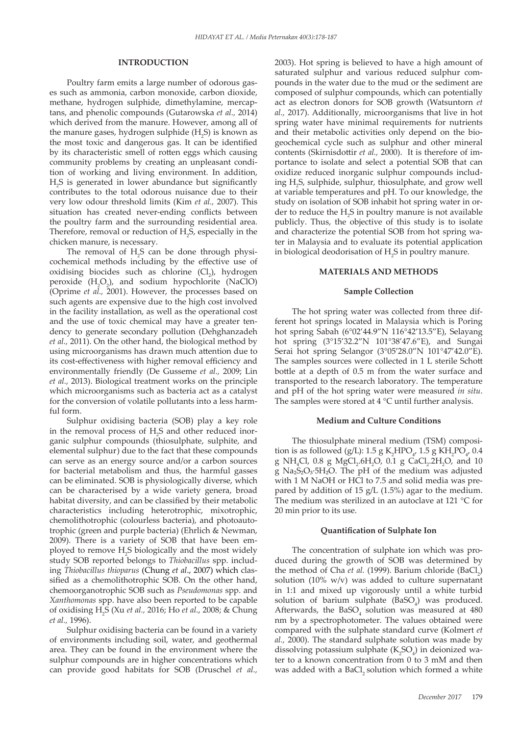## **INTRODUCTION**

Poultry farm emits a large number of odorous gases such as ammonia, carbon monoxide, carbon dioxide, methane, hydrogen sulphide, dimethylamine, mercaptans, and phenolic compounds (Gutarowska *et al.,* 2014) which derived from the manure. However, among all of the manure gases, hydrogen sulphide  $(H_2S)$  is known as the most toxic and dangerous gas. It can be identified by its characteristic smell of rotten eggs which causing community problems by creating an unpleasant condition of working and living environment. In addition, H2 S is generated in lower abundance but significantly contributes to the total odorous nuisance due to their very low odour threshold limits (Kim *et al.,* 2007). This situation has created never-ending conflicts between the poultry farm and the surrounding residential area. Therefore, removal or reduction of  $H_2S$ , especially in the chicken manure, is necessary.

The removal of  $H_2S$  can be done through physicochemical methods including by the effective use of oxidising biocides such as chlorine (Cl<sub>2</sub>), hydrogen peroxide  $(H_2O_2)$ , and sodium hypochlorite (NaClO) (Oprime *et al.,* 2001). However, the processes based on such agents are expensive due to the high cost involved in the facility installation, as well as the operational cost and the use of toxic chemical may have a greater tendency to generate secondary pollution (Dehghanzadeh *et al.,* 2011). On the other hand, the biological method by using microorganisms has drawn much attention due to its cost-effectiveness with higher removal efficiency and environmentally friendly (De Gusseme *et al.,* 2009; Lin *et al.,* 2013). Biological treatment works on the principle which microorganisms such as bacteria act as a catalyst for the conversion of volatile pollutants into a less harmful form.

Sulphur oxidising bacteria (SOB) play a key role in the removal process of  $H_2S$  and other reduced inorganic sulphur compounds (thiosulphate, sulphite, and elemental sulphur) due to the fact that these compounds can serve as an energy source and/or a carbon sources for bacterial metabolism and thus, the harmful gasses can be eliminated. SOB is physiologically diverse, which can be characterised by a wide variety genera, broad habitat diversity, and can be classified by their metabolic characteristics including heterotrophic, mixotrophic, chemolithotrophic (colourless bacteria), and photoautotrophic (green and purple bacteria) (Ehrlich & Newman, 2009). There is a variety of SOB that have been employed to remove H<sub>2</sub>S biologically and the most widely study SOB reported belongs to *Thiobacillus* spp. including *Thiobacillus thioparus* (Chung *et al*., 2007) which classified as a chemolithotrophic SOB. On the other hand, chemoorganotrophic SOB such as *Pseudomonas* spp. and *Xanthomonas* spp. have also been reported to be capable of oxidising H2 S (Xu *et al.,* 2016; Ho *et al*., 2008; & Chung *et al.,* 1996).

Sulphur oxidising bacteria can be found in a variety of environments including soil, water, and geothermal area. They can be found in the environment where the sulphur compounds are in higher concentrations which can provide good habitats for SOB (Druschel *et al.,*

2003). Hot spring is believed to have a high amount of saturated sulphur and various reduced sulphur compounds in the water due to the mud or the sediment are composed of sulphur compounds, which can potentially act as electron donors for SOB growth (Watsuntorn *et al.,* 2017). Additionally, microorganisms that live in hot spring water have minimal requirements for nutrients and their metabolic activities only depend on the biogeochemical cycle such as sulphur and other mineral contents (Skirnisdottir *et al.,* 2000). It is therefore of importance to isolate and select a potential SOB that can oxidize reduced inorganic sulphur compounds including H<sub>2</sub>S, sulphide, sulphur, thiosulphate, and grow well at variable temperatures and pH. To our knowledge, the study on isolation of SOB inhabit hot spring water in order to reduce the  $H_2S$  in poultry manure is not available publicly. Thus, the objective of this study is to isolate and characterize the potential SOB from hot spring water in Malaysia and to evaluate its potential application in biological deodorisation of  $H_2S$  in poultry manure.

#### **MATERIALS AND METHODS**

#### **Sample Collection**

The hot spring water was collected from three different hot springs located in Malaysia which is Poring hot spring Sabah (6°02'44.9"N 116°42'13.5"E), Selayang hot spring (3°15'32.2"N 101°38'47.6"E), and Sungai Serai hot spring Selangor (3°05'28.0"N 101°47'42.0"E). The samples sources were collected in 1 L sterile Schott bottle at a depth of 0.5 m from the water surface and transported to the research laboratory. The temperature and pH of the hot spring water were measured *in situ*. The samples were stored at 4 °C until further analysis.

#### **Medium and Culture Conditions**

The thiosulphate mineral medium (TSM) composition is as followed (g/L): 1.5 g  $K_2$ HPO<sub>4</sub>, 1.5 g KH<sub>2</sub>PO<sub>4</sub>, 0.4  $g \ NH_4Cl$ , 0.8  $g \ MgCl_2.6H_2O$ , 0.1  $g \ CaCl_2.2H_2O$ , and 10 g Na₂S₂O₃·5H₂O. The pH of the medium was adjusted with 1 M NaOH or HCl to 7.5 and solid media was prepared by addition of 15 g/L (1.5%) agar to the medium. The medium was sterilized in an autoclave at 121 °C for 20 min prior to its use.

#### **Quantification of Sulphate Ion**

The concentration of sulphate ion which was produced during the growth of SOB was determined by the method of Cha *et al.* (1999). Barium chloride (BaCl<sub>2</sub>) solution (10% w/v) was added to culture supernatant in 1:1 and mixed up vigorously until a white turbid solution of barium sulphate  $(BaSO_4)$  was produced. Afterwards, the  $BaSO<sub>4</sub>$  solution was measured at  $480$ nm by a spectrophotometer. The values obtained were compared with the sulphate standard curve (Kolmert *et al.,* 2000). The standard sulphate solution was made by dissolving potassium sulphate  $(K_2SO_4)$  in deionized water to a known concentration from 0 to 3 mM and then was added with a BaCl, solution which formed a white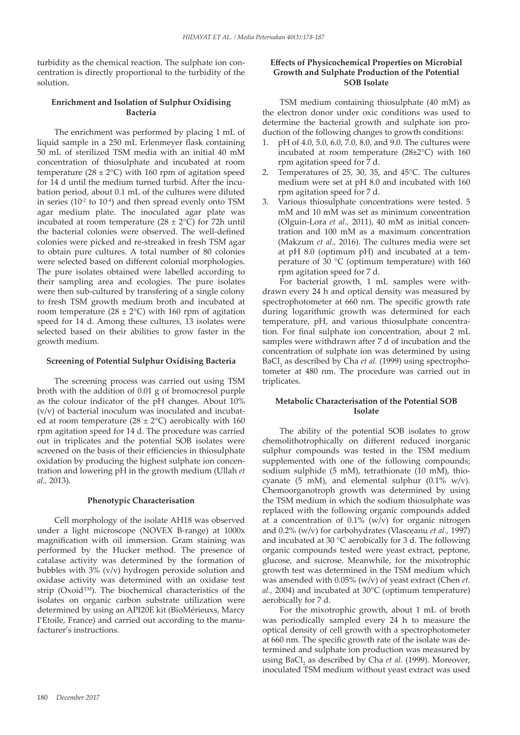turbidity as the chemical reaction. The sulphate ion concentration is directly proportional to the turbidity of the solution.

## **Enrichment and Isolation of Sulphur Oxidising Bacteria**

The enrichment was performed by placing 1 mL of liquid sample in a 250 mL Erlenmeyer flask containing 50 mL of sterilized TSM media with an initial 40 mM concentration of thiosulphate and incubated at room temperature (28  $\pm$  2°C) with 160 rpm of agitation speed for 14 d until the medium turned turbid. After the incubation period, about 0.1 mL of the cultures were diluted in series ( $10^{-2}$  to  $10^{-4}$ ) and then spread evenly onto TSM agar medium plate. The inoculated agar plate was incubated at room temperature (28  $\pm$  2°C) for 72h until the bacterial colonies were observed. The well-defined colonies were picked and re-streaked in fresh TSM agar to obtain pure cultures. A total number of 80 colonies were selected based on different colonial morphologies. The pure isolates obtained were labelled according to their sampling area and ecologies. The pure isolates were then sub-cultured by transfering of a single colony to fresh TSM growth medium broth and incubated at room temperature ( $28 \pm 2$ °C) with 160 rpm of agitation speed for 14 d. Among these cultures, 13 isolates were selected based on their abilities to grow faster in the growth medium.

## **Screening of Potential Sulphur Oxidising Bacteria**

The screening process was carried out using TSM broth with the addition of 0.01 g of bromocresol purple as the colour indicator of the pH changes. About 10% (v/v) of bacterial inoculum was inoculated and incubated at room temperature ( $28 \pm 2$ °C) aerobically with 160 rpm agitation speed for 14 d. The procedure was carried out in triplicates and the potential SOB isolates were screened on the basis of their efficiencies in thiosulphate oxidation by producing the highest sulphate ion concentration and lowering pH in the growth medium (Ullah *et al.,* 2013).

#### **Phenotypic Characterisation**

Cell morphology of the isolate AH18 was observed under a light microscope (NOVEX B-range) at 1000x magnification with oil immersion. Gram staining was performed by the Hucker method. The presence of catalase activity was determined by the formation of bubbles with 3% (v/v) hydrogen peroxide solution and oxidase activity was determined with an oxidase test strip (Oxoid™). The biochemical characteristics of the isolates on organic carbon substrate utilization were determined by using an API20E kit (BioMérieuxs, Marcy I'Etoile, France) and carried out according to the manufacturer's instructions.

## **Effects of Physicochemical Properties on Microbial Growth and Sulphate Production of the Potential SOB Isolate**

TSM medium containing thiosulphate (40 mM) as the electron donor under oxic conditions was used to determine the bacterial growth and sulphate ion production of the following changes to growth conditions:

- 1. pH of 4.0, 5.0, 6.0, 7.0, 8.0, and 9.0. The cultures were incubated at room temperature (28±2°C) with 160 rpm agitation speed for 7 d.
- 2. Temperatures of 25, 30, 35, and 45°C. The cultures medium were set at pH 8.0 and incubated with 160 rpm agitation speed for 7 d.
- 3. Various thiosulphate concentrations were tested. 5 mM and 10 mM was set as minimum concentration (Olguin-Lora *et al.,* 2011), 40 mM as initial concentration and 100 mM as a maximum concentration (Makzum *et al.,* 2016). The cultures media were set at pH 8.0 (optimum pH) and incubated at a temperature of 30 °C (optimum temperature) with 160 rpm agitation speed for 7 d.

For bacterial growth, 1 mL samples were withdrawn every 24 h and optical density was measured by spectrophotometer at 660 nm. The specific growth rate during logarithmic growth was determined for each temperature, pH, and various thiosulphate concentration. For final sulphate ion concentration, about 2 mL samples were withdrawn after 7 d of incubation and the concentration of sulphate ion was determined by using BaCl<sub>2</sub> as described by Cha *et al.* (1999) using spectrophotometer at 480 nm. The procedure was carried out in triplicates.

## **Metabolic Characterisation of the Potential SOB Isolate**

The ability of the potential SOB isolates to grow chemolithotrophically on different reduced inorganic sulphur compounds was tested in the TSM medium supplemented with one of the following compounds; sodium sulphide (5 mM), tetrathionate (10 mM), thiocyanate (5 mM), and elemental sulphur (0.1% w/v). Chemoorganotroph growth was determined by using the TSM medium in which the sodium thiosulphate was replaced with the following organic compounds added at a concentration of  $0.1\%$  (w/v) for organic nitrogen and 0.2% (w/v) for carbohydrates (Vlasceanu *et al.,* 1997) and incubated at 30 °C aerobically for 3 d. The following organic compounds tested were yeast extract, peptone, glucose, and sucrose. Meanwhile, for the mixotrophic growth test was determined in the TSM medium which was amended with 0.05% (w/v) of yeast extract (Chen *et. al.,* 2004) and incubated at 30°C (optimum temperature) aerobically for 7 d.

For the mixotrophic growth, about 1 mL of broth was periodically sampled every 24 h to measure the optical density of cell growth with a spectrophotometer at 660 nm. The specific growth rate of the isolate was determined and sulphate ion production was measured by using BaCl<sub>2</sub> as described by Cha *et al.* (1999). Moreover, inoculated TSM medium without yeast extract was used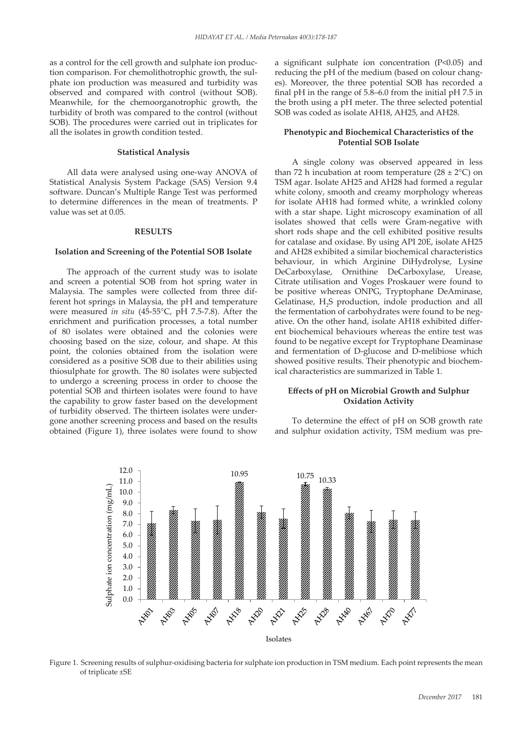as a control for the cell growth and sulphate ion production comparison. For chemolithotrophic growth, the sulphate ion production was measured and turbidity was observed and compared with control (without SOB). Meanwhile, for the chemoorganotrophic growth, the turbidity of broth was compared to the control (without SOB). The procedures were carried out in triplicates for all the isolates in growth condition tested.

#### **Statistical Analysis**

All data were analysed using one-way ANOVA of Statistical Analysis System Package (SAS) Version 9.4 software. Duncan's Multiple Range Test was performed to determine differences in the mean of treatments. P value was set at 0.05.

#### **RESULTS**

#### **Isolation and Screening of the Potential SOB Isolate**

The approach of the current study was to isolate and screen a potential SOB from hot spring water in Malaysia. The samples were collected from three different hot springs in Malaysia, the pH and temperature were measured *in situ* (45-55°C, pH 7.5-7.8). After the enrichment and purification processes, a total number of 80 isolates were obtained and the colonies were choosing based on the size, colour, and shape. At this point, the colonies obtained from the isolation were considered as a positive SOB due to their abilities using thiosulphate for growth. The 80 isolates were subjected to undergo a screening process in order to choose the potential SOB and thirteen isolates were found to have the capability to grow faster based on the development of turbidity observed. The thirteen isolates were undergone another screening process and based on the results obtained (Figure 1), three isolates were found to show a significant sulphate ion concentration (P<0.05) and reducing the pH of the medium (based on colour changes). Moreover, the three potential SOB has recorded a final pH in the range of 5.8–6.0 from the initial pH 7.5 in the broth using a pH meter. The three selected potential SOB was coded as isolate AH18, AH25, and AH28.

## **Phenotypic and Biochemical Characteristics of the Potential SOB Isolate**

A single colony was observed appeared in less than 72 h incubation at room temperature  $(28 \pm 2^{\circ}C)$  on TSM agar. Isolate AH25 and AH28 had formed a regular white colony, smooth and creamy morphology whereas for isolate AH18 had formed white, a wrinkled colony with a star shape. Light microscopy examination of all isolates showed that cells were Gram-negative with short rods shape and the cell exhibited positive results for catalase and oxidase. By using API 20E, isolate AH25 and AH28 exhibited a similar biochemical characteristics behaviour, in which Arginine DiHydrolyse, Lysine DeCarboxylase, Ornithine DeCarboxylase, Urease, Citrate utilisation and Voges Proskauer were found to be positive whereas ONPG, Tryptophane DeAminase, Gelatinase, H<sub>2</sub>S production, indole production and all the fermentation of carbohydrates were found to be negative. On the other hand, isolate AH18 exhibited different biochemical behaviours whereas the entire test was found to be negative except for Tryptophane Deaminase and fermentation of D-glucose and D-melibiose which showed positive results. Their phenotypic and biochemical characteristics are summarized in Table 1.

# **Effects of pH on Microbial Growth and Sulphur Oxidation Activity**

To determine the effect of pH on SOB growth rate and sulphur oxidation activity, TSM medium was pre-



Figure 1. Screening results of sulphur-oxidising bacteria for sulphate ion production in TSM medium. Each point represents the mean of triplicate ±SE 597 Figure 1: Screening results of sulphur-oxidising bacteria for sulphate ion production in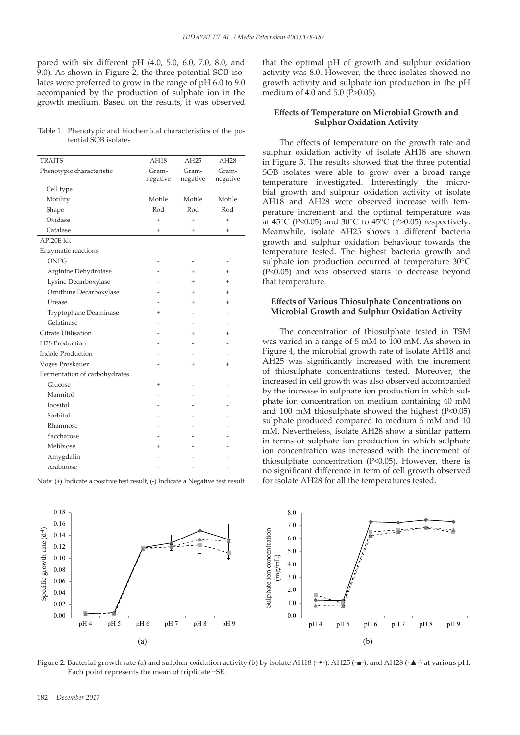pared with six different pH (4.0, 5.0, 6.0, 7.0, 8.0, and 9.0). As shown in Figure 2, the three potential SOB isolates were preferred to grow in the range of pH 6.0 to 9.0 accompanied by the production of sulphate ion in the growth medium. Based on the results, it was observed

Table 1. Phenotypic and biochemical characteristics of the potential SOB isolates

| <b>TRAITS</b>                 | AH18      | AH <sub>25</sub> | AH <sub>28</sub> |
|-------------------------------|-----------|------------------|------------------|
| Phenotypic characteristic     | Gram-     | Gram-            | Gram-            |
|                               | negative  | negative         | negative         |
| Cell type                     |           |                  |                  |
| Motility                      | Motile    | Motile           | Motile           |
| Shape                         | Rod       | Rod              | Rod              |
| Oxidase                       | $\ddot{}$ | $\ddot{}$        | $\ddot{}$        |
| Catalase                      | $^{+}$    | $^{+}$           | $^{+}$           |
| API20E kit                    |           |                  |                  |
| Enzymatic reactions           |           |                  |                  |
| <b>ONPG</b>                   |           |                  |                  |
| Arginine Dehydrolase          |           | $^{+}$           | $^{+}$           |
| Lysine Decarboxylase          |           | $\overline{+}$   | $^{+}$           |
| Ornithine Decarboxylase       |           | $\ddot{}$        | $^{+}$           |
| Urease                        |           |                  | $\ddot{}$        |
| Tryptophane Deaminase         | $^{+}$    |                  |                  |
| Gelatinase                    |           |                  |                  |
| Citrate Utilisation           |           | $\ddot{}$        | $^{+}$           |
| H2S Production                |           |                  |                  |
| <b>Indole Production</b>      |           |                  |                  |
| Voges Proskauer               |           | $^{+}$           | $^{+}$           |
| Fermentation of carbohydrates |           |                  |                  |
| Glucose                       | $\ddot{}$ |                  |                  |
| Mannitol                      |           |                  |                  |
| Inositol                      |           |                  |                  |
| Sorbitol                      |           |                  |                  |
| Rhamnose                      |           |                  |                  |
| Saccharose                    |           |                  |                  |
| Melibiose                     | $\,^+$    |                  |                  |
| Amygdalin                     |           |                  |                  |
| Arabinose                     |           |                  |                  |

Note: (+) Indicate a positive test result, (-) Indicate a Negative test result

that the optimal pH of growth and sulphur oxidation activity was 8.0. However, the three isolates showed no growth activity and sulphate ion production in the pH medium of 4.0 and 5.0 (P>0.05).

## **Effects of Temperature on Microbial Growth and Sulphur Oxidation Activity**

The effects of temperature on the growth rate and sulphur oxidation activity of isolate AH18 are shown in Figure 3. The results showed that the three potential SOB isolates were able to grow over a broad range temperature investigated. Interestingly the microbial growth and sulphur oxidation activity of isolate AH18 and AH28 were observed increase with temperature increment and the optimal temperature was at  $45^{\circ}$ C (P<0.05) and  $30^{\circ}$ C to  $45^{\circ}$ C (P>0.05) respectively. Meanwhile, isolate AH25 shows a different bacteria growth and sulphur oxidation behaviour towards the temperature tested. The highest bacteria growth and sulphate ion production occurred at temperature 30°C (P<0.05) and was observed starts to decrease beyond that temperature.

## **Effects of Various Thiosulphate Concentrations on Microbial Growth and Sulphur Oxidation Activity MP-1727\_Revised by Author**

The concentration of thiosulphate tested in TSM was varied in a range of 5 mM to 100 mM. As shown in Figure 4, the microbial growth rate of isolate AH18 and AH25 was significantly increased with the increment of thiosulphate concentrations tested. Moreover, the Increased in cell growth was also observed accompanied by the increase in sulphate ion production in which sulphate ion concentration on medium containing 40 mM and 100 mM thiosulphate showed the highest  $(P<0.05)$ sulphate produced compared to medium 5 mM and 10 mM. Nevertheless, isolate AH28 show a similar pattern in terms of sulphate ion production in which sulphate 0.02 ion concentration was increased with the increment of thiosulphate concentration  $(P<0.05)$ . However, there is **The solution of the system is a significant difference in term of cell growth observed** egative test result for isolate AH28 for all the temperatures tested.  $\mu$  concentration  $(1 \times 0.05)$ . However, there of<br>noy<br>bh un<br>su<br>nl n



Figure 2. Bacterial growth rate (a) and sulphur oxidation activity (b) by isolate AH18 (-•-), AH25 (-■-), and AH28 (-▲-) at various pH. Each point represents the mean of triplicate ±SE.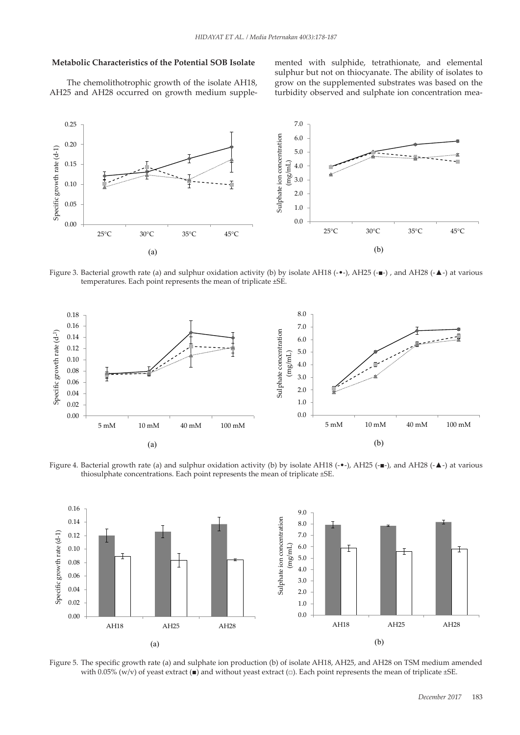## **Metabolic Characteristics of the Potential SOB Isolate**

The chemolithotrophic growth of the isolate AH18, grow on AH25 and AH28 occurred on growth medium supple-

mented with sulphide, tetrathionate, and elemental sulphur but not on thiocyanate. The ability of isolates to isolate AH18, grow on the supplemented substrates was based on the turbidity observed and sulphate ion concentration mean suipnide, tetrathionate, and eiem



Figure 3. Bacterial growth rate (a) and sulphur oxidation activity (b) by isolate AH18 (-•-), AH25 (-■-) , and AH28 (-▲-) at various temperatures. Each point represents the mean of triplicate ±SE.



Figure 4. Bacterial growth rate (a) and sulphur oxidation activity (b) by isolate AH18 (-•-), AH25 (-■-), and AH28 (-▲-) at various thiosulphate concentrations. Each point represents the mean of triplicate ±SE. 634 point represents the mean of triplicate ±SE. 636

**MP-1727\_Revised by Author**



Figure 5. The specific growth rate (a) and sulphate ion production (b) of isolate AH18, AH25, and AH28 on TSM medium amended with 0.05% (w/v) of yeast extract (■) and without yeast extract (□). Each point represents the mean of triplicate  $\pm$ SE. te ion production (b) of isolate AH18, AH25, and AH28 on TSM medium amended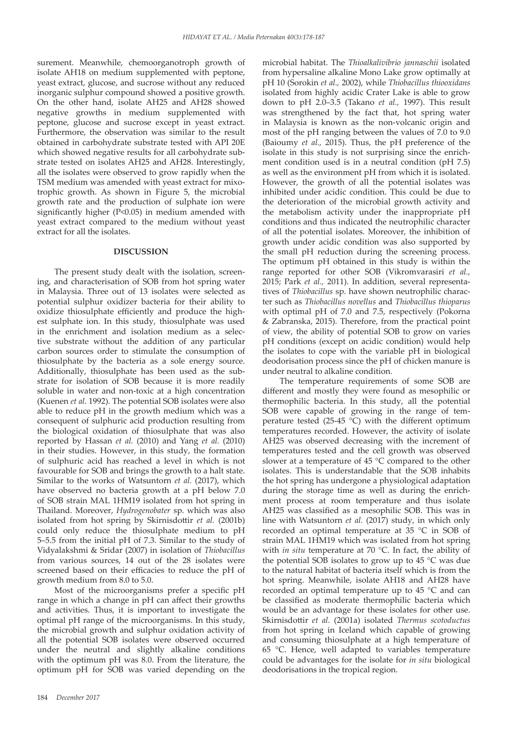surement. Meanwhile, chemoorganotroph growth of isolate AH18 on medium supplemented with peptone, yeast extract, glucose, and sucrose without any reduced inorganic sulphur compound showed a positive growth. On the other hand, isolate AH25 and AH28 showed negative growths in medium supplemented with peptone, glucose and sucrose except in yeast extract. Furthermore, the observation was similar to the result obtained in carbohydrate substrate tested with API 20E which showed negative results for all carbohydrate substrate tested on isolates AH25 and AH28. Interestingly, all the isolates were observed to grow rapidly when the TSM medium was amended with yeast extract for mixotrophic growth. As shown in Figure 5, the microbial growth rate and the production of sulphate ion were significantly higher (P<0.05) in medium amended with yeast extract compared to the medium without yeast extract for all the isolates.

#### **DISCUSSION**

The present study dealt with the isolation, screening, and characterisation of SOB from hot spring water in Malaysia. Three out of 13 isolates were selected as potential sulphur oxidizer bacteria for their ability to oxidize thiosulphate efficiently and produce the highest sulphate ion. In this study, thiosulphate was used in the enrichment and isolation medium as a selective substrate without the addition of any particular carbon sources order to stimulate the consumption of thiosulphate by the bacteria as a sole energy source. Additionally, thiosulphate has been used as the substrate for isolation of SOB because it is more readily soluble in water and non-toxic at a high concentration (Kuenen *et al*. 1992). The potential SOB isolates were also able to reduce pH in the growth medium which was a consequent of sulphuric acid production resulting from the biological oxidation of thiosulphate that was also reported by Hassan *et al.* (2010) and Yang *et al.* (2010) in their studies. However, in this study, the formation of sulphuric acid has reached a level in which is not favourable for SOB and brings the growth to a halt state. Similar to the works of Watsuntorn *et al.* (2017), which have observed no bacteria growth at a pH below 7.0 of SOB strain MAL 1HM19 isolated from hot spring in Thailand. Moreover, *Hydrogenobater* sp. which was also isolated from hot spring by Skirnisdottir *et al.* (2001b) could only reduce the thiosulphate medium to pH 5–5.5 from the initial pH of 7.3. Similar to the study of Vidyalakshmi & Sridar (2007) in isolation of *Thiobacillus* from various sources, 14 out of the 28 isolates were screened based on their efficacies to reduce the pH of growth medium from 8.0 to 5.0.

Most of the microorganisms prefer a specific pH range in which a change in pH can affect their growths and activities. Thus, it is important to investigate the optimal pH range of the microorganisms. In this study, the microbial growth and sulphur oxidation activity of all the potential SOB isolates were observed occurred under the neutral and slightly alkaline conditions with the optimum pH was 8.0. From the literature, the optimum pH for SOB was varied depending on the microbial habitat. The *Thioalkalivibrio jannaschii* isolated from hypersaline alkaline Mono Lake grow optimally at pH 10 (Sorokin *et al.,* 2002), while *Thiobacillus thiooxidans* isolated from highly acidic Crater Lake is able to grow down to pH 2.0–3.5 (Takano *et al.,* 1997). This result was strengthened by the fact that, hot spring water in Malaysia is known as the non-volcanic origin and most of the pH ranging between the values of 7.0 to 9.0 (Baioumy *et al.,* 2015). Thus, the pH preference of the isolate in this study is not surprising since the enrichment condition used is in a neutral condition (pH 7.5) as well as the environment pH from which it is isolated. However, the growth of all the potential isolates was inhibited under acidic condition. This could be due to the deterioration of the microbial growth activity and the metabolism activity under the inappropriate pH conditions and thus indicated the neutrophilic character of all the potential isolates. Moreover, the inhibition of growth under acidic condition was also supported by the small pH reduction during the screening process. The optimum pH obtained in this study is within the range reported for other SOB (Vikromvarasiri *et al.,* 2015; Park *et al.,* 2011). In addition, several representatives of *Thiobacillus* sp. have shown neutrophilic character such as *Thiobacillus novellus* and *Thiobacillus thioparus*  with optimal pH of 7.0 and 7.5, respectively (Pokorna & Zabranska, 2015). Therefore, from the practical point of view, the ability of potential SOB to grow on varies pH conditions (except on acidic condition) would help the isolates to cope with the variable pH in biological deodorisation process since the pH of chicken manure is under neutral to alkaline condition.

The temperature requirements of some SOB are different and mostly they were found as mesophilic or thermophilic bacteria. In this study, all the potential SOB were capable of growing in the range of temperature tested (25-45  $^{\circ}$ C) with the different optimum temperatures recorded. However, the activity of isolate AH25 was observed decreasing with the increment of temperatures tested and the cell growth was observed slower at a temperature of 45 °C compared to the other isolates. This is understandable that the SOB inhabits the hot spring has undergone a physiological adaptation during the storage time as well as during the enrichment process at room temperature and thus isolate AH25 was classified as a mesophilic SOB. This was in line with Watsuntorn *et al.* (2017) study, in which only recorded an optimal temperature at 35 °C in SOB of strain MAL 1HM19 which was isolated from hot spring with *in situ* temperature at 70 °C. In fact, the ability of the potential SOB isolates to grow up to 45 °C was due to the natural habitat of bacteria itself which is from the hot spring. Meanwhile, isolate AH18 and AH28 have recorded an optimal temperature up to 45 °C and can be classified as moderate thermophilic bacteria which would be an advantage for these isolates for other use. Skirnisdottir *et al.* (2001a) isolated *Thermus scotoductus*  from hot spring in Iceland which capable of growing and consuming thiosulphate at a high temperature of 65 °C. Hence, well adapted to variables temperature could be advantages for the isolate for *in situ* biological deodorisations in the tropical region.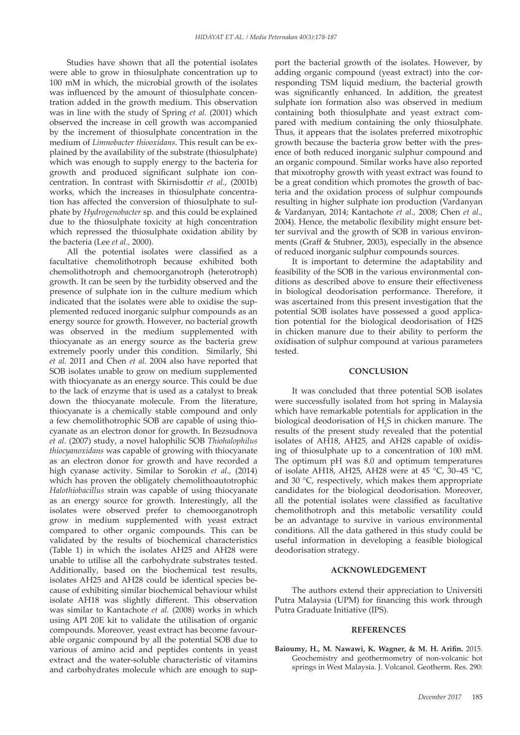Studies have shown that all the potential isolates were able to grow in thiosulphate concentration up to 100 mM in which, the microbial growth of the isolates was influenced by the amount of thiosulphate concentration added in the growth medium. This observation was in line with the study of Spring *et al.* (2001) which observed the increase in cell growth was accompanied by the increment of thiosulphate concentration in the medium of *Limnobacter thiooxidans*. This result can be explained by the availability of the substrate (thiosulphate) which was enough to supply energy to the bacteria for growth and produced significant sulphate ion concentration. In contrast with Skirnisdottir *et al.*, (2001b) works, which the increases in thiosulphate concentration has affected the conversion of thiosulphate to sulphate by *Hydrogenobacter* sp. and this could be explained due to the thiosulphate toxicity at high concentration which repressed the thiosulphate oxidation ability by the bacteria (Lee *et al.,* 2000).

All the potential isolates were classified as a facultative chemolithotroph because exhibited both chemolithotroph and chemoorganotroph (heterotroph) growth. It can be seen by the turbidity observed and the presence of sulphate ion in the culture medium which indicated that the isolates were able to oxidise the supplemented reduced inorganic sulphur compounds as an energy source for growth. However, no bacterial growth was observed in the medium supplemented with thiocyanate as an energy source as the bacteria grew extremely poorly under this condition. Similarly, Shi *et al.* 2011 and Chen *et al.* 2004 also have reported that SOB isolates unable to grow on medium supplemented with thiocyanate as an energy source. This could be due to the lack of enzyme that is used as a catalyst to break down the thiocyanate molecule. From the literature, thiocyanate is a chemically stable compound and only a few chemolithotrophic SOB are capable of using thiocyanate as an electron donor for growth. In Bezsudnova *et al.* (2007) study, a novel halophilic SOB *Thiohalophilus thiocyanoxidans* was capable of growing with thiocyanate as an electron donor for growth and have recorded a high cyanase activity. Similar to Sorokin *et al.,* (2014) which has proven the obligately chemolithoautotrophic *Halothiobacillus* strain was capable of using thiocyanate as an energy source for growth. Interestingly, all the isolates were observed prefer to chemoorganotroph grow in medium supplemented with yeast extract compared to other organic compounds. This can be validated by the results of biochemical characteristics (Table 1) in which the isolates AH25 and AH28 were unable to utilise all the carbohydrate substrates tested. Additionally, based on the biochemical test results, isolates AH25 and AH28 could be identical species because of exhibiting similar biochemical behaviour whilst isolate AH18 was slightly different. This observation was similar to Kantachote *et al.* (2008) works in which using API 20E kit to validate the utilisation of organic compounds. Moreover, yeast extract has become favourable organic compound by all the potential SOB due to various of amino acid and peptides contents in yeast extract and the water-soluble characteristic of vitamins and carbohydrates molecule which are enough to support the bacterial growth of the isolates. However, by adding organic compound (yeast extract) into the corresponding TSM liquid medium, the bacterial growth was significantly enhanced. In addition, the greatest sulphate ion formation also was observed in medium containing both thiosulphate and yeast extract compared with medium containing the only thiosulphate. Thus, it appears that the isolates preferred mixotrophic growth because the bacteria grow better with the presence of both reduced inorganic sulphur compound and an organic compound. Similar works have also reported that mixotrophy growth with yeast extract was found to be a great condition which promotes the growth of bacteria and the oxidation process of sulphur compounds resulting in higher sulphate ion production (Vardanyan & Vardanyan, 2014; Kantachote *et al.,* 2008; Chen *et al.,* 2004). Hence, the metabolic flexibility might ensure better survival and the growth of SOB in various environments (Graff & Stubner, 2003), especially in the absence of reduced inorganic sulphur compounds sources.

It is important to determine the adaptability and feasibility of the SOB in the various environmental conditions as described above to ensure their effectiveness in biological deodorisation performance. Therefore, it was ascertained from this present investigation that the potential SOB isolates have possessed a good application potential for the biological deodorisation of H2S in chicken manure due to their ability to perform the oxidisation of sulphur compound at various parameters tested.

#### **CONCLUSION**

It was concluded that three potential SOB isolates were successfully isolated from hot spring in Malaysia which have remarkable potentials for application in the biological deodorisation of  $H_2S$  in chicken manure. The results of the present study revealed that the potential isolates of AH18, AH25, and AH28 capable of oxidising of thiosulphate up to a concentration of 100 mM. The optimum pH was 8.0 and optimum temperatures of isolate AH18, AH25, AH28 were at 45 °C, 30–45 °C, and 30 °C, respectively, which makes them appropriate candidates for the biological deodorisation. Moreover, all the potential isolates were classified as facultative chemolithotroph and this metabolic versatility could be an advantage to survive in various environmental conditions. All the data gathered in this study could be useful information in developing a feasible biological deodorisation strategy.

#### **ACKNOWLEDGEMENT**

The authors extend their appreciation to Universiti Putra Malaysia (UPM) for financing this work through Putra Graduate Initiative (IPS).

#### **REFERENCES**

**Baioumy, H., M. Nawawi, K. Wagner, & M. H. Arifin.** 2015. Geochemistry and geothermometry of non-volcanic hot springs in West Malaysia. J. Volcanol. Geotherm. Res. 290: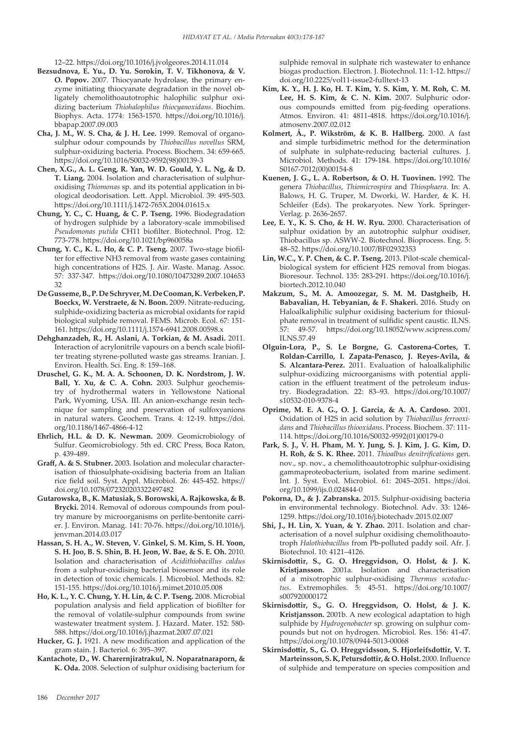12–22. https://doi.org/10.1016/j.jvolgeores.2014.11.014

- **Bezsudnova, E. Yu., D. Yu. Sorokin, T. V. Tikhonova, & V. O. Popov.** 2007. Thiocyanate hydrolase, the primary enzyme initiating thiocyanate degradation in the novel obligately chemolithoautotrophic halophilic sulphur oxidizing bacterium *Thiohalophilus thiocyanoxidans*. Biochim. Biophys. Acta. 1774: 1563-1570. https://doi.org/10.1016/j. bbapap.2007.09.003
- **Cha, J. M., W. S. Cha, & J. H. Lee.** 1999. Removal of organosulphur odour compounds by *Thiobacillus novellus* SRM, sulphur-oxidizing bacteria. Process. Biochem. 34: 659-665. https://doi.org/10.1016/S0032-9592(98)00139-3
- **Chen, X.G., A. L. Geng, R. Yan, W. D. Gould, Y. L. Ng, & D. T. Liang.** 2004. Isolation and characterisation of sulphuroxidising *Thiomonas* sp. and its potential application in biological deodorisation. Lett. Appl. Microbiol. 39: 495-503. https://doi.org/10.1111/j.1472-765X.2004.01615.x
- **Chung, Y. C., C. Huang, & C. P. Tseng.** 1996. Biodegradation of hydrogen sulphide by a laboratory-scale immobilised *Pseudomonas putida* CH11 biofilter. Biotechnol. Prog. 12: 773-778. https://doi.org/10.1021/bp960058a
- **Chung, Y. C., K. L. Ho, & C. P. Tseng.** 2007. Two-stage biofilter for effective NH3 removal from waste gases containing high concentrations of H2S. J. Air. Waste. Manag. Assoc. 57: 337-347. https://doi.org/10.1080/10473289.2007.104653 32
- **De Gusseme, B., P. De Schryver, M. De Cooman, K. Verbeken, P. Boeckx, W. Verstraete, & N. Boon.** 2009. Nitrate-reducing, sulphide-oxidizing bacteria as microbial oxidants for rapid biological sulphide removal. FEMS. Microb. Ecol. 67: 151- 161. https://doi.org/10.1111/j.1574-6941.2008.00598.x
- **Dehghanzadeh, R., H. Aslani, A. Torkian, & M. Asadi.** 2011. Interaction of acrylonitrile vapours on a bench scale biofilter treating styrene-polluted waste gas streams. Iranian. J. Environ. Health. Sci. Eng. 8: 159–168.
- **Druschel, G. K., M. A. A. Schoonen, D. K. Nordstrom, J. W. Ball, Y. Xu, & C. A. Cohn.** 2003. Sulphur geochemistry of hydrothermal waters in Yellowstone National Park, Wyoming, USA. III. An anion-exchange resin technique for sampling and preservation of sulfoxyanions in natural waters. Geochem. Trans. 4: 12-19. https://doi. org/10.1186/1467-4866-4-12
- **Ehrlich, H.L. & D. K. Newman.** 2009. Geomicrobiology of Sulfur. Geomicrobiology. 5th ed. CRC Press, Boca Raton, p. 439-489.
- **Graff, A. & S. Stubner.** 2003. Isolation and molecular characterisation of thiosulphate-oxidising bacteria from an Italian rice field soil. Syst. Appl. Microbiol. 26: 445-452. https:// doi.org/10.1078/072320203322497482
- **Gutarowska, B., K. Matusiak, S. Borowski, A. Rajkowska, & B. Brycki.** 2014. Removal of odorous compounds from poultry manure by microorganisms on perlite-bentonite carrier. J. Environ. Manag. 141: 70-76. https://doi.org/10.1016/j. jenvman.2014.03.017
- **Hassan, S. H. A., W. Steven, V. Ginkel, S. M. Kim, S. H. Yoon, S. H. Joo, B. S. Shin, B. H. Jeon, W. Bae, & S. E. Oh.** 2010. Isolation and characterisation of *Acidithiobacillus caldus* from a sulphur-oxidising bacterial biosensor and its role in detection of toxic chemicals. J. Microbiol. Methods. 82: 151-155. https://doi.org/10.1016/j.mimet.2010.05.008
- **Ho, K. L., Y. C. Chung, Y. H. Lin, & C. P. Tseng.** 2008. Microbial population analysis and field application of biofilter for the removal of volatile-sulphur compounds from swine wastewater treatment system. J. Hazard. Mater. 152: 580- 588. https://doi.org/10.1016/j.jhazmat.2007.07.021
- **Hucker, G. J.** 1921. A new modification and application of the gram stain. J. Bacteriol. 6: 395–397.
- **Kantachote, D., W. Charernjiratrakul, N. Noparatnaraporn, & K. Oda.** 2008. Selection of sulphur oxidising bacterium for

sulphide removal in sulphate rich wastewater to enhance biogas production. Electron. J. Biotechnol. 11: 1-12. https:// doi.org/10.2225/vol11-issue2-fulltext-13

- **Kim, K. Y., H. J. Ko, H. T. Kim, Y. S. Kim, Y. M. Roh, C. M. Lee, H. S. Kim, & C. N. Kim.** 2007. Sulphuric odorous compounds emitted from pig-feeding operations. Atmos. Environ. 41: 4811-4818. https://doi.org/10.1016/j. atmosenv.2007.02.012
- **Kolmert, Å., P. Wikström, & K. B. Hallberg.** 2000. A fast and simple turbidimetric method for the determination of sulphate in sulphate-reducing bacterial cultures. J. Microbiol. Methods. 41: 179-184. https://doi.org/10.1016/ S0167-7012(00)00154-8
- **Kuenen, J. G., L. A. Robertson, & O. H. Tuovinen.** 1992. The genera *Thiobacillus*, *Thiomicrospira* and *Thiosphaera*. In: A. Balows, H. G. Truper, M. Dworki, W. Harder, & K. H. Schleifer (Eds). The prokaryotes. New York. Springer-Verlag. p. 2636-2657.
- **Lee, E. Y., K. S. Cho, & H. W. Ryu.** 2000. Characterisation of sulphur oxidation by an autotrophic sulphur oxidiser, Thiobacillus sp. ASWW-2. Biotechnol. Bioprocess. Eng. 5: 48–52. https://doi.org/10.1007/BF02932353
- **Lin, W.C., Y. P. Chen, & C. P. Tseng.** 2013. Pilot-scale chemicalbiological system for efficient H2S removal from biogas. Bioresour. Technol. 135: 283-291. https://doi.org/10.1016/j. biortech.2012.10.040
- **Makzum, S., M. A. Amoozegar, S. M. M. Dastgheib, H. Babavalian, H. Tebyanian, & F. Shakeri.** 2016. Study on Haloalkaliphilic sulphur oxidising bacterium for thiosulphate removal in treatment of sulfidic spent caustic. ILNS. 57: 49-57. https://doi.org/10.18052/www.scipress.com/ ILNS.57.49
- **Olguin-Lora, P., S. Le Borgne, G. Castorena-Cortes, T. Roldan-Carrillo, I. Zapata-Penasco, J. Reyes-Avila, & S. Alcantara-Perez.** 2011. Evaluation of haloalkaliphilic sulphur-oxidizing microorganisms with potential application in the effluent treatment of the petroleum industry. Biodegradation. 22: 83–93. https://doi.org/10.1007/ s10532-010-9378-4
- **Oprime, M. E. A. G., O. J. Garcia, & A. A. Cardoso.** 2001. Oxidation of H2S in acid solution by *Thiobacillus ferrooxidans* and *Thiobacillus thiooxidans*. Process. Biochem. 37: 111- 114. https://doi.org/10.1016/S0032-9592(01)00179-0
- **Park, S. J., V. H. Pham, M. Y. Jung, S. J. Kim, J. G. Kim, D. H. Roh, & S. K. Rhee.** 2011. *Thioalbus denitrifications* gen. nov., sp. nov., a chemolithoautotrophic sulphur-oxidising gammaproteobacterium, isolated from marine sediment. Int. J. Syst. Evol. Microbiol. 61: 2045–2051. https://doi. org/10.1099/ijs.0.024844-0
- **Pokorna, D., & J. Zabranska.** 2015. Sulphur-oxidising bacteria in environmental technology. Biotechnol. Adv. 33: 1246- 1259. https://doi.org/10.1016/j.biotechadv.2015.02.007
- **Shi, J., H. Lin, X. Yuan, & Y. Zhao.** 2011. Isolation and characterisation of a novel sulphur oxidising chemolithoautotroph *Halothiobacillus* from Pb-polluted paddy soil. Afr. J. Biotechnol. 10: 4121–4126.
- **Skirnisdottir, S., G. O. Hreggvidson, O. Holst, & J. K. Kristjansson.** 2001a. Isolation and characterisation of a mixotrophic sulphur-oxidising *Thermus scotoductus*. Extremophiles. 5: 45-51. https://doi.org/10.1007/ s007920000172
- **Skirnisdottir, S., G. O. Hreggvidson, O. Holst, & J. K. Kristjansson.** 2001b. A new ecological adaptation to high sulphide by *Hydrogenobacter* sp. growing on sulphur compounds but not on hydrogen. Microbiol. Res. 156: 41-47. https://doi.org/10.1078/0944-5013-00068
- **Skirnisdottir, S., G. O. Hreggvidsson, S. Hjorleifsdottir, V. T. Marteinsson, S. K, Petursdottir, & O. Holst.** 2000. Influence of sulphide and temperature on species composition and